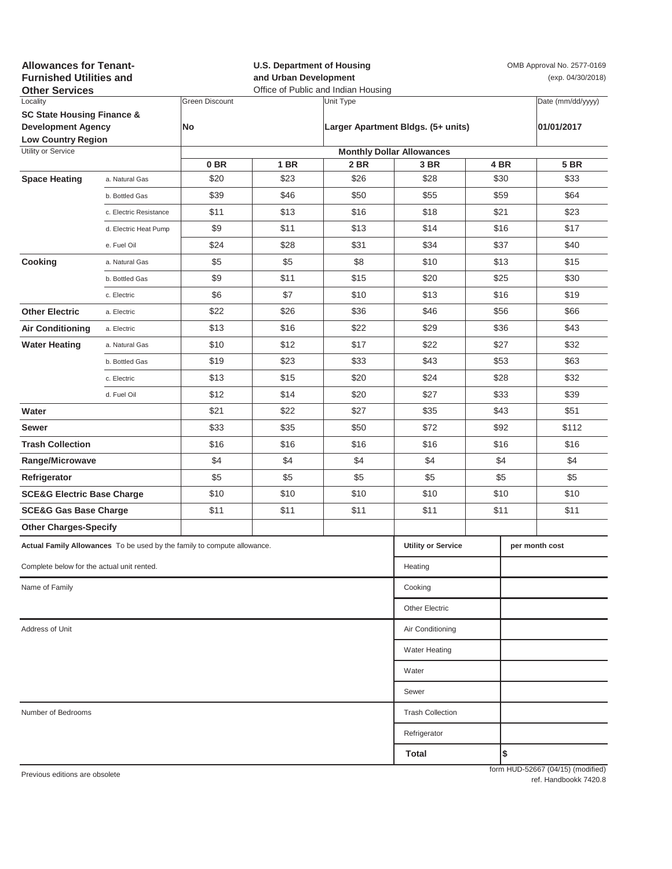| <b>Allowances for Tenant-</b><br><b>Furnished Utilities and</b><br><b>Other Services</b> |                                                                         |                       | <b>U.S. Department of Housing</b><br>and Urban Development<br>Office of Public and Indian Housing |           |                                    |            | OMB Approval No. 2577-0169<br>(exp. 04/30/2018) |                                   |
|------------------------------------------------------------------------------------------|-------------------------------------------------------------------------|-----------------------|---------------------------------------------------------------------------------------------------|-----------|------------------------------------|------------|-------------------------------------------------|-----------------------------------|
| Locality                                                                                 |                                                                         | <b>Green Discount</b> |                                                                                                   | Unit Type |                                    |            |                                                 | Date (mm/dd/yyyy)                 |
| <b>SC State Housing Finance &amp;</b>                                                    |                                                                         |                       |                                                                                                   |           | Larger Apartment Bldgs. (5+ units) |            |                                                 |                                   |
| <b>Development Agency</b><br><b>Low Country Region</b>                                   |                                                                         | No                    |                                                                                                   |           |                                    | 01/01/2017 |                                                 |                                   |
| Utility or Service                                                                       |                                                                         |                       |                                                                                                   |           | <b>Monthly Dollar Allowances</b>   |            |                                                 |                                   |
|                                                                                          |                                                                         | 0 <sub>BR</sub>       | <b>1 BR</b>                                                                                       | 2 BR      | 3 BR                               |            | 4 BR                                            | <b>5 BR</b>                       |
| <b>Space Heating</b>                                                                     | a. Natural Gas                                                          | \$20                  | \$23                                                                                              | \$26      | \$28                               |            | \$30                                            | \$33                              |
|                                                                                          | b. Bottled Gas                                                          | \$39                  | \$46                                                                                              | \$50      | \$55                               |            | \$59                                            | \$64                              |
|                                                                                          | c. Electric Resistance                                                  | \$11                  | \$13                                                                                              | \$16      | \$18                               |            | \$21                                            | \$23                              |
|                                                                                          | d. Electric Heat Pump                                                   | \$9                   | \$11                                                                                              | \$13      | \$14                               |            | \$16                                            | \$17                              |
|                                                                                          | e. Fuel Oil                                                             | \$24                  | \$28                                                                                              | \$31      | \$34                               |            | \$37                                            | \$40                              |
| Cooking                                                                                  | a. Natural Gas                                                          | \$5                   | \$5                                                                                               | \$8       | \$10                               | \$13       |                                                 | \$15                              |
|                                                                                          | b. Bottled Gas                                                          | \$9                   | \$11                                                                                              | \$15      | \$20                               | \$25       |                                                 | \$30                              |
|                                                                                          | c. Electric                                                             | \$6                   | \$7                                                                                               | \$10      | \$13                               |            | \$16                                            | \$19                              |
| <b>Other Electric</b>                                                                    | a. Electric                                                             | \$22                  | \$26                                                                                              | \$36      | \$46                               | \$56       |                                                 | \$66                              |
| <b>Air Conditioning</b>                                                                  | a. Electric                                                             | \$13                  | \$16                                                                                              | \$22      | \$29                               | \$36       |                                                 | \$43                              |
| <b>Water Heating</b>                                                                     | a. Natural Gas                                                          | \$10                  | \$12                                                                                              | \$17      | \$22                               | \$27       |                                                 | \$32                              |
|                                                                                          | b. Bottled Gas                                                          | \$19                  | \$23                                                                                              | \$33      | \$43                               |            | \$53                                            | \$63                              |
|                                                                                          | c. Electric                                                             | \$13                  | \$15                                                                                              | \$20      | \$24                               |            | \$28                                            | \$32                              |
|                                                                                          | d. Fuel Oil                                                             | \$12                  | \$14                                                                                              | \$20      | \$27                               |            | \$33                                            | \$39                              |
| Water                                                                                    |                                                                         | \$21                  | \$22                                                                                              | \$27      | \$35                               |            | \$43                                            | \$51                              |
| Sewer                                                                                    |                                                                         | \$33                  | \$35                                                                                              | \$50      | \$72                               |            | \$92                                            | \$112                             |
| <b>Trash Collection</b>                                                                  |                                                                         | \$16                  | \$16                                                                                              | \$16      | \$16                               |            | \$16                                            | \$16                              |
| Range/Microwave                                                                          |                                                                         | \$4                   | \$4                                                                                               | \$4       | \$4                                | \$4        |                                                 | \$4                               |
| Refrigerator                                                                             |                                                                         | \$5                   | \$5                                                                                               | \$5       | \$5                                | \$5        |                                                 | \$5                               |
| <b>SCE&amp;G Electric Base Charge</b>                                                    |                                                                         | \$10                  | \$10                                                                                              | \$10      | \$10                               | \$10       |                                                 | \$10                              |
| <b>SCE&amp;G Gas Base Charge</b>                                                         |                                                                         | \$11                  | \$11                                                                                              | \$11      | \$11                               | \$11       |                                                 | \$11                              |
| <b>Other Charges-Specify</b>                                                             |                                                                         |                       |                                                                                                   |           |                                    |            |                                                 |                                   |
|                                                                                          | Actual Family Allowances To be used by the family to compute allowance. |                       |                                                                                                   |           | <b>Utility or Service</b>          |            |                                                 | per month cost                    |
|                                                                                          |                                                                         |                       |                                                                                                   |           |                                    |            |                                                 |                                   |
| Complete below for the actual unit rented.                                               |                                                                         |                       |                                                                                                   |           | Heating                            |            |                                                 |                                   |
| Name of Family                                                                           |                                                                         |                       |                                                                                                   |           | Cooking                            |            |                                                 |                                   |
|                                                                                          |                                                                         |                       |                                                                                                   |           | <b>Other Electric</b>              |            |                                                 |                                   |
| Address of Unit                                                                          | Air Conditioning                                                        |                       |                                                                                                   |           |                                    |            |                                                 |                                   |
|                                                                                          |                                                                         |                       |                                                                                                   |           | <b>Water Heating</b>               |            |                                                 |                                   |
|                                                                                          |                                                                         |                       |                                                                                                   |           | Water                              |            |                                                 |                                   |
|                                                                                          |                                                                         |                       |                                                                                                   |           | Sewer                              |            |                                                 |                                   |
| Number of Bedrooms                                                                       | <b>Trash Collection</b>                                                 |                       |                                                                                                   |           |                                    |            |                                                 |                                   |
|                                                                                          |                                                                         |                       |                                                                                                   |           | Refrigerator                       |            |                                                 |                                   |
|                                                                                          |                                                                         |                       |                                                                                                   |           | Total                              |            | \$                                              |                                   |
| Previous editions are obsolete                                                           |                                                                         |                       |                                                                                                   |           |                                    |            |                                                 | form HUD-52667 (04/15) (modified) |